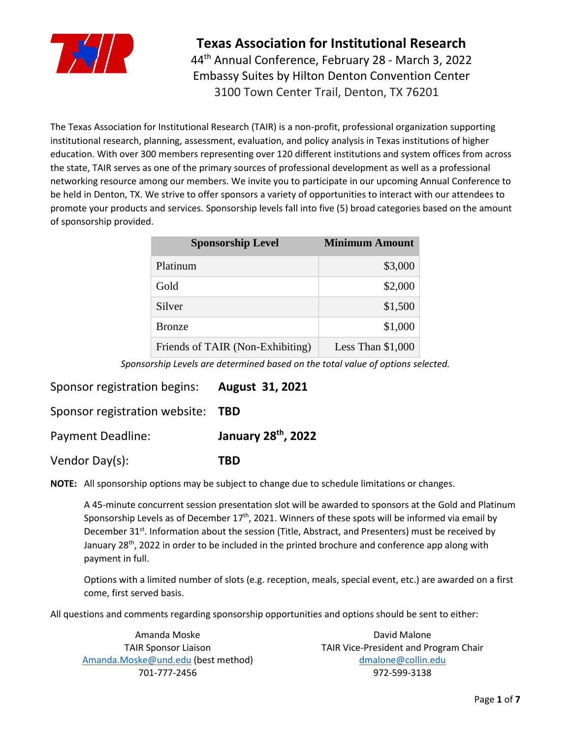

44 th Annual Conference, February 28 - March 3, 2022 Embassy Suites by Hilton Denton Convention Center 3100 Town Center Trail, Denton, TX 76201

The Texas Association for Institutional Research (TAIR) is a non-profit, professional organization supporting institutional research, planning, assessment, evaluation, and policy analysis in Texas institutions of higher education. With over 300 members representing over 120 different institutions and system offices from across the state, TAIR serves as one of the primary sources of professional development as well as a professional networking resource among our members. We invite you to participate in our upcoming Annual Conference to be held in Denton, TX. We strive to offer sponsors a variety of opportunities to interact with our attendees to promote your products and services. Sponsorship levels fall into five (5) broad categories based on the amount of sponsorship provided.

| <b>Sponsorship Level</b>         | <b>Minimum Amount</b> |
|----------------------------------|-----------------------|
| Platinum                         | \$3,000               |
| Gold                             | \$2,000               |
| Silver                           | \$1,500               |
| <b>Bronze</b>                    | \$1,000               |
| Friends of TAIR (Non-Exhibiting) | Less Than \$1,000     |

*Sponsorship Levels are determined based on the total value of options selected.*

Sponsor registration begins: **August 31, 2021**

Sponsor registration website: **TBD**

**Payment Deadline:** January 28<sup>th</sup>, 2022

Vendor Day(s): **TBD**

**NOTE:** All sponsorship options may be subject to change due to schedule limitations or changes.

A 45-minute concurrent session presentation slot will be awarded to sponsors at the Gold and Platinum Sponsorship Levels as of December  $17<sup>th</sup>$ , 2021. Winners of these spots will be informed via email by December 31<sup>st</sup>. Information about the session (Title, Abstract, and Presenters) must be received by January 28<sup>th</sup>, 2022 in order to be included in the printed brochure and conference app along with payment in full.

Options with a limited number of slots (e.g. reception, meals, special event, etc.) are awarded on a first come, first served basis.

All questions and comments regarding sponsorship opportunities and options should be sent to either:

Amanda Moske TAIR Sponsor Liaison [Amanda.Moske@und.edu](mailto:Amanda.Moske@und.edu) (best method) 701-777-2456

David Malone TAIR Vice-President and Program Chair [dmalone@collin.edu](mailto:dmalone@collin.edu) 972-599-3138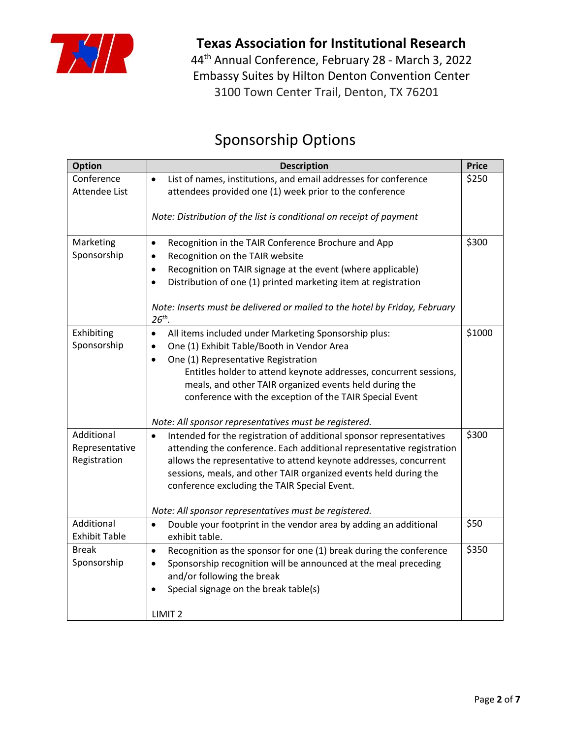

44 th Annual Conference, February 28 - March 3, 2022 Embassy Suites by Hilton Denton Convention Center 3100 Town Center Trail, Denton, TX 76201

## Sponsorship Options

| <b>Option</b>                                | <b>Description</b>                                                                                                                                                                                                                                                                                                                                                                                                                                      | <b>Price</b> |
|----------------------------------------------|---------------------------------------------------------------------------------------------------------------------------------------------------------------------------------------------------------------------------------------------------------------------------------------------------------------------------------------------------------------------------------------------------------------------------------------------------------|--------------|
| Conference<br>Attendee List                  | List of names, institutions, and email addresses for conference<br>$\bullet$<br>attendees provided one (1) week prior to the conference                                                                                                                                                                                                                                                                                                                 | \$250        |
|                                              | Note: Distribution of the list is conditional on receipt of payment                                                                                                                                                                                                                                                                                                                                                                                     |              |
| Marketing<br>Sponsorship                     | Recognition in the TAIR Conference Brochure and App<br>$\bullet$<br>Recognition on the TAIR website<br>$\bullet$<br>Recognition on TAIR signage at the event (where applicable)<br>$\bullet$<br>Distribution of one (1) printed marketing item at registration<br>Note: Inserts must be delivered or mailed to the hotel by Friday, February<br>$26th$ .                                                                                                | \$300        |
| Exhibiting<br>Sponsorship                    | All items included under Marketing Sponsorship plus:<br>$\bullet$<br>One (1) Exhibit Table/Booth in Vendor Area<br>$\bullet$<br>One (1) Representative Registration<br>$\bullet$<br>Entitles holder to attend keynote addresses, concurrent sessions,<br>meals, and other TAIR organized events held during the<br>conference with the exception of the TAIR Special Event                                                                              | \$1000       |
| Additional<br>Representative<br>Registration | Note: All sponsor representatives must be registered.<br>Intended for the registration of additional sponsor representatives<br>attending the conference. Each additional representative registration<br>allows the representative to attend keynote addresses, concurrent<br>sessions, meals, and other TAIR organized events held during the<br>conference excluding the TAIR Special Event.<br>Note: All sponsor representatives must be registered. | \$300        |
| Additional<br><b>Exhibit Table</b>           | Double your footprint in the vendor area by adding an additional<br>$\bullet$                                                                                                                                                                                                                                                                                                                                                                           | \$50         |
| <b>Break</b><br>Sponsorship                  | exhibit table.<br>Recognition as the sponsor for one (1) break during the conference<br>$\bullet$<br>Sponsorship recognition will be announced at the meal preceding<br>$\bullet$<br>and/or following the break<br>Special signage on the break table(s)<br>LIMIT <sub>2</sub>                                                                                                                                                                          | \$350        |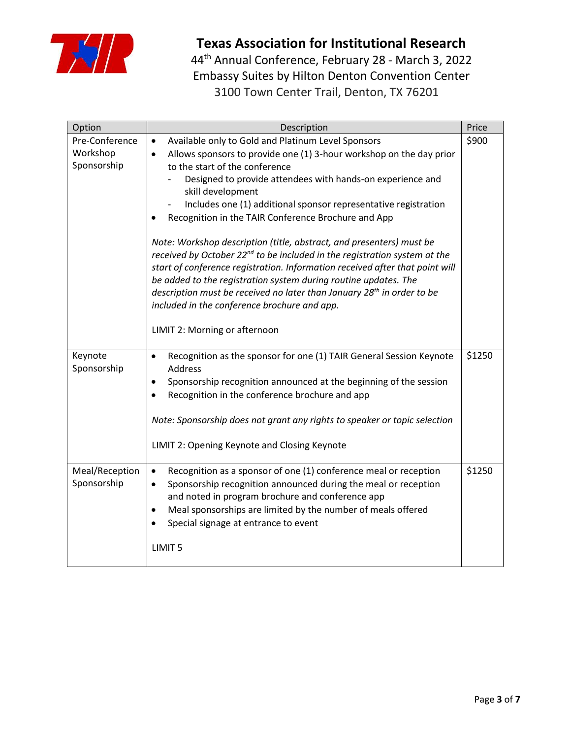

44 th Annual Conference, February 28 - March 3, 2022 Embassy Suites by Hilton Denton Convention Center 3100 Town Center Trail, Denton, TX 76201

| Option                                    | Description                                                                                                                                                                                                                                                                                                                                                                                                                                                                                                                                                                                                                                                                                                                                                                                                                                                                                   | Price  |
|-------------------------------------------|-----------------------------------------------------------------------------------------------------------------------------------------------------------------------------------------------------------------------------------------------------------------------------------------------------------------------------------------------------------------------------------------------------------------------------------------------------------------------------------------------------------------------------------------------------------------------------------------------------------------------------------------------------------------------------------------------------------------------------------------------------------------------------------------------------------------------------------------------------------------------------------------------|--------|
| Pre-Conference<br>Workshop<br>Sponsorship | Available only to Gold and Platinum Level Sponsors<br>$\bullet$<br>Allows sponsors to provide one (1) 3-hour workshop on the day prior<br>$\bullet$<br>to the start of the conference<br>Designed to provide attendees with hands-on experience and<br>skill development<br>Includes one (1) additional sponsor representative registration<br>Recognition in the TAIR Conference Brochure and App<br>Note: Workshop description (title, abstract, and presenters) must be<br>received by October 22 <sup>nd</sup> to be included in the registration system at the<br>start of conference registration. Information received after that point will<br>be added to the registration system during routine updates. The<br>description must be received no later than January 28 <sup>th</sup> in order to be<br>included in the conference brochure and app.<br>LIMIT 2: Morning or afternoon | \$900  |
| Keynote<br>Sponsorship                    | Recognition as the sponsor for one (1) TAIR General Session Keynote<br>$\bullet$<br>Address<br>Sponsorship recognition announced at the beginning of the session<br>Recognition in the conference brochure and app<br>Note: Sponsorship does not grant any rights to speaker or topic selection<br>LIMIT 2: Opening Keynote and Closing Keynote                                                                                                                                                                                                                                                                                                                                                                                                                                                                                                                                               | \$1250 |
| Meal/Reception<br>Sponsorship             | Recognition as a sponsor of one (1) conference meal or reception<br>$\bullet$<br>Sponsorship recognition announced during the meal or reception<br>$\bullet$<br>and noted in program brochure and conference app<br>Meal sponsorships are limited by the number of meals offered<br>$\bullet$<br>Special signage at entrance to event<br>LIMIT <sub>5</sub>                                                                                                                                                                                                                                                                                                                                                                                                                                                                                                                                   | \$1250 |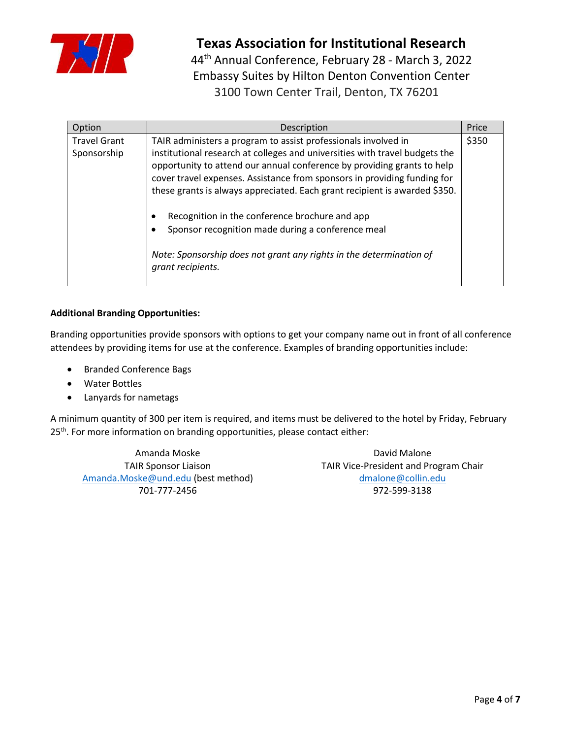

44 th Annual Conference, February 28 - March 3, 2022 Embassy Suites by Hilton Denton Convention Center 3100 Town Center Trail, Denton, TX 76201

| Option                             | Description                                                                                                                                                                                                                                                                                                                                                                        | Price |
|------------------------------------|------------------------------------------------------------------------------------------------------------------------------------------------------------------------------------------------------------------------------------------------------------------------------------------------------------------------------------------------------------------------------------|-------|
| <b>Travel Grant</b><br>Sponsorship | TAIR administers a program to assist professionals involved in<br>institutional research at colleges and universities with travel budgets the<br>opportunity to attend our annual conference by providing grants to help<br>cover travel expenses. Assistance from sponsors in providing funding for<br>these grants is always appreciated. Each grant recipient is awarded \$350. | \$350 |
|                                    | Recognition in the conference brochure and app<br>Sponsor recognition made during a conference meal<br>Note: Sponsorship does not grant any rights in the determination of<br>grant recipients.                                                                                                                                                                                    |       |

#### **Additional Branding Opportunities:**

Branding opportunities provide sponsors with options to get your company name out in front of all conference attendees by providing items for use at the conference. Examples of branding opportunities include:

- Branded Conference Bags
- Water Bottles
- Lanyards for nametags

A minimum quantity of 300 per item is required, and items must be delivered to the hotel by Friday, February 25<sup>th</sup>. For more information on branding opportunities, please contact either:

Amanda Moske TAIR Sponsor Liaison [Amanda.Moske@und.edu](mailto:Amanda.Moske@und.edu) (best method) 701-777-2456

David Malone TAIR Vice-President and Program Chair [dmalone@collin.edu](mailto:dmalone@collin.edu) 972-599-3138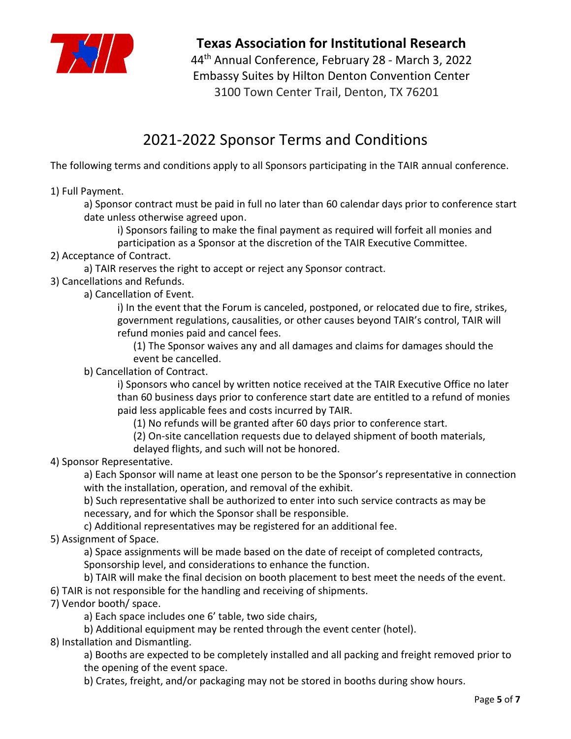

44 th Annual Conference, February 28 - March 3, 2022 Embassy Suites by Hilton Denton Convention Center 3100 Town Center Trail, Denton, TX 76201

# 2021-2022 Sponsor Terms and Conditions

The following terms and conditions apply to all Sponsors participating in the TAIR annual conference.

1) Full Payment.

a) Sponsor contract must be paid in full no later than 60 calendar days prior to conference start date unless otherwise agreed upon.

i) Sponsors failing to make the final payment as required will forfeit all monies and participation as a Sponsor at the discretion of the TAIR Executive Committee.

2) Acceptance of Contract.

a) TAIR reserves the right to accept or reject any Sponsor contract.

3) Cancellations and Refunds.

a) Cancellation of Event.

i) In the event that the Forum is canceled, postponed, or relocated due to fire, strikes, government regulations, causalities, or other causes beyond TAIR's control, TAIR will refund monies paid and cancel fees.

(1) The Sponsor waives any and all damages and claims for damages should the event be cancelled.

b) Cancellation of Contract.

i) Sponsors who cancel by written notice received at the TAIR Executive Office no later than 60 business days prior to conference start date are entitled to a refund of monies paid less applicable fees and costs incurred by TAIR.

(1) No refunds will be granted after 60 days prior to conference start.

(2) On-site cancellation requests due to delayed shipment of booth materials,

delayed flights, and such will not be honored.

4) Sponsor Representative.

a) Each Sponsor will name at least one person to be the Sponsor's representative in connection with the installation, operation, and removal of the exhibit.

b) Such representative shall be authorized to enter into such service contracts as may be necessary, and for which the Sponsor shall be responsible.

c) Additional representatives may be registered for an additional fee.

5) Assignment of Space.

a) Space assignments will be made based on the date of receipt of completed contracts, Sponsorship level, and considerations to enhance the function.

b) TAIR will make the final decision on booth placement to best meet the needs of the event.

- 6) TAIR is not responsible for the handling and receiving of shipments.
- 7) Vendor booth/ space.

a) Each space includes one 6' table, two side chairs,

b) Additional equipment may be rented through the event center (hotel).

8) Installation and Dismantling.

a) Booths are expected to be completely installed and all packing and freight removed prior to the opening of the event space.

b) Crates, freight, and/or packaging may not be stored in booths during show hours.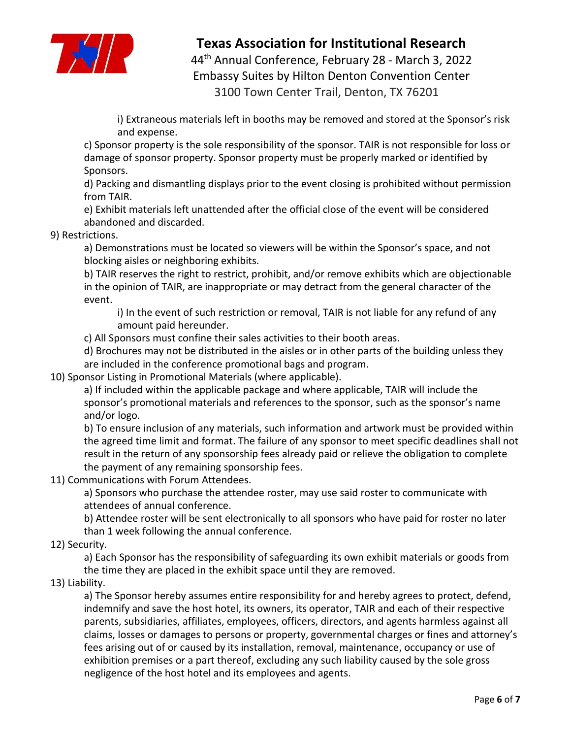

44 th Annual Conference, February 28 - March 3, 2022 Embassy Suites by Hilton Denton Convention Center 3100 Town Center Trail, Denton, TX 76201

i) Extraneous materials left in booths may be removed and stored at the Sponsor's risk and expense.

c) Sponsor property is the sole responsibility of the sponsor. TAIR is not responsible for loss or damage of sponsor property. Sponsor property must be properly marked or identified by Sponsors.

d) Packing and dismantling displays prior to the event closing is prohibited without permission from TAIR.

e) Exhibit materials left unattended after the official close of the event will be considered abandoned and discarded.

### 9) Restrictions.

a) Demonstrations must be located so viewers will be within the Sponsor's space, and not blocking aisles or neighboring exhibits.

b) TAIR reserves the right to restrict, prohibit, and/or remove exhibits which are objectionable in the opinion of TAIR, are inappropriate or may detract from the general character of the event.

i) In the event of such restriction or removal, TAIR is not liable for any refund of any amount paid hereunder.

c) All Sponsors must confine their sales activities to their booth areas.

d) Brochures may not be distributed in the aisles or in other parts of the building unless they are included in the conference promotional bags and program.

10) Sponsor Listing in Promotional Materials (where applicable).

a) If included within the applicable package and where applicable, TAIR will include the sponsor's promotional materials and references to the sponsor, such as the sponsor's name and/or logo.

b) To ensure inclusion of any materials, such information and artwork must be provided within the agreed time limit and format. The failure of any sponsor to meet specific deadlines shall not result in the return of any sponsorship fees already paid or relieve the obligation to complete the payment of any remaining sponsorship fees.

11) Communications with Forum Attendees.

a) Sponsors who purchase the attendee roster, may use said roster to communicate with attendees of annual conference.

b) Attendee roster will be sent electronically to all sponsors who have paid for roster no later than 1 week following the annual conference.

12) Security.

a) Each Sponsor has the responsibility of safeguarding its own exhibit materials or goods from the time they are placed in the exhibit space until they are removed.

13) Liability.

a) The Sponsor hereby assumes entire responsibility for and hereby agrees to protect, defend, indemnify and save the host hotel, its owners, its operator, TAIR and each of their respective parents, subsidiaries, affiliates, employees, officers, directors, and agents harmless against all claims, losses or damages to persons or property, governmental charges or fines and attorney's fees arising out of or caused by its installation, removal, maintenance, occupancy or use of exhibition premises or a part thereof, excluding any such liability caused by the sole gross negligence of the host hotel and its employees and agents.